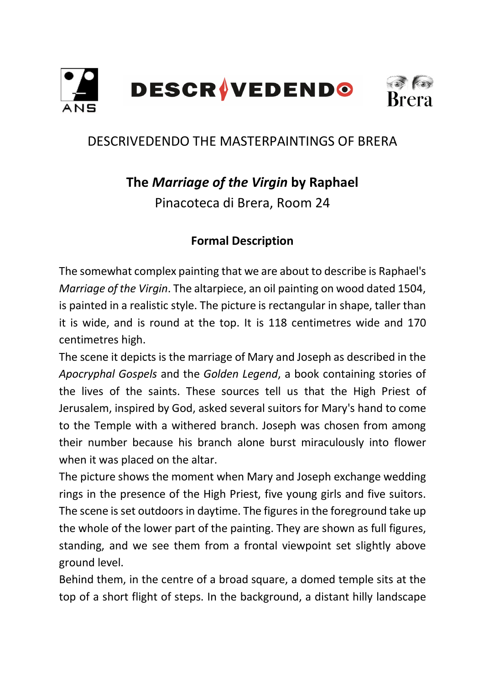

## DESCRIVEDENDO THE MASTERPAINTINGS OF BRERA

# **The** *Marriage of the Virgin* **by Raphael**

Pinacoteca di Brera, Room 24

### **Formal Description**

The somewhat complex painting that we are about to describe is Raphael's *Marriage of the Virgin*. The altarpiece, an oil painting on wood dated 1504, is painted in a realistic style. The picture is rectangular in shape, taller than it is wide, and is round at the top. It is 118 centimetres wide and 170 centimetres high.

The scene it depicts is the marriage of Mary and Joseph as described in the *Apocryphal Gospels* and the *Golden Legend*, a book containing stories of the lives of the saints. These sources tell us that the High Priest of Jerusalem, inspired by God, asked several suitors for Mary's hand to come to the Temple with a withered branch. Joseph was chosen from among their number because his branch alone burst miraculously into flower when it was placed on the altar.

The picture shows the moment when Mary and Joseph exchange wedding rings in the presence of the High Priest, five young girls and five suitors. The scene is set outdoors in daytime. The figures in the foreground take up the whole of the lower part of the painting. They are shown as full figures, standing, and we see them from a frontal viewpoint set slightly above ground level.

Behind them, in the centre of a broad square, a domed temple sits at the top of a short flight of steps. In the background, a distant hilly landscape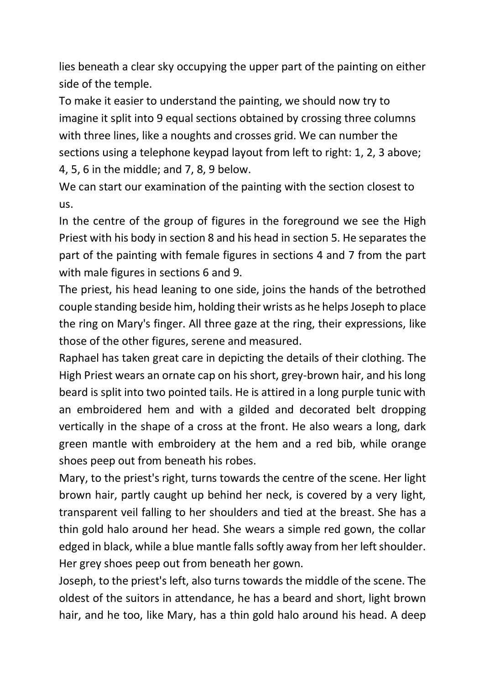lies beneath a clear sky occupying the upper part of the painting on either side of the temple.

To make it easier to understand the painting, we should now try to imagine it split into 9 equal sections obtained by crossing three columns with three lines, like a noughts and crosses grid. We can number the sections using a telephone keypad layout from left to right: 1, 2, 3 above; 4, 5, 6 in the middle; and 7, 8, 9 below.

We can start our examination of the painting with the section closest to us.

In the centre of the group of figures in the foreground we see the High Priest with his body in section 8 and his head in section 5. He separates the part of the painting with female figures in sections 4 and 7 from the part with male figures in sections 6 and 9.

The priest, his head leaning to one side, joins the hands of the betrothed couple standing beside him, holding their wrists as he helps Joseph to place the ring on Mary's finger. All three gaze at the ring, their expressions, like those of the other figures, serene and measured.

Raphael has taken great care in depicting the details of their clothing. The High Priest wears an ornate cap on his short, grey-brown hair, and his long beard is split into two pointed tails. He is attired in a long purple tunic with an embroidered hem and with a gilded and decorated belt dropping vertically in the shape of a cross at the front. He also wears a long, dark green mantle with embroidery at the hem and a red bib, while orange shoes peep out from beneath his robes.

Mary, to the priest's right, turns towards the centre of the scene. Her light brown hair, partly caught up behind her neck, is covered by a very light, transparent veil falling to her shoulders and tied at the breast. She has a thin gold halo around her head. She wears a simple red gown, the collar edged in black, while a blue mantle falls softly away from her left shoulder. Her grey shoes peep out from beneath her gown.

Joseph, to the priest's left, also turns towards the middle of the scene. The oldest of the suitors in attendance, he has a beard and short, light brown hair, and he too, like Mary, has a thin gold halo around his head. A deep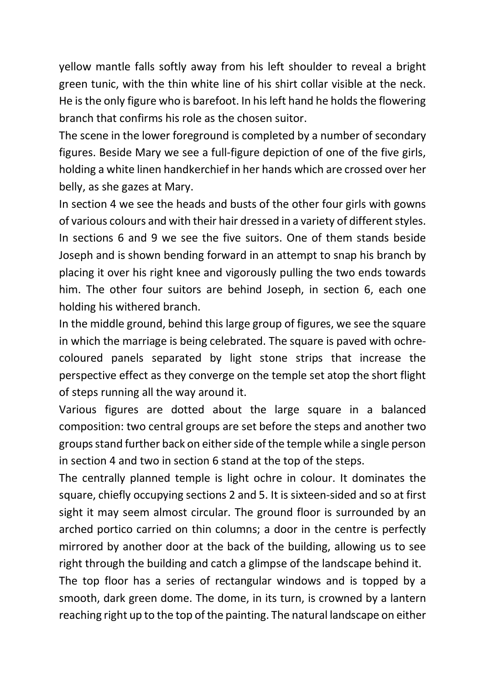yellow mantle falls softly away from his left shoulder to reveal a bright green tunic, with the thin white line of his shirt collar visible at the neck. He is the only figure who is barefoot. In his left hand he holds the flowering branch that confirms his role as the chosen suitor.

The scene in the lower foreground is completed by a number of secondary figures. Beside Mary we see a full-figure depiction of one of the five girls, holding a white linen handkerchief in her hands which are crossed over her belly, as she gazes at Mary.

In section 4 we see the heads and busts of the other four girls with gowns of various colours and with their hair dressed in a variety of different styles. In sections 6 and 9 we see the five suitors. One of them stands beside Joseph and is shown bending forward in an attempt to snap his branch by placing it over his right knee and vigorously pulling the two ends towards him. The other four suitors are behind Joseph, in section 6, each one holding his withered branch.

In the middle ground, behind this large group of figures, we see the square in which the marriage is being celebrated. The square is paved with ochrecoloured panels separated by light stone strips that increase the perspective effect as they converge on the temple set atop the short flight of steps running all the way around it.

Various figures are dotted about the large square in a balanced composition: two central groups are set before the steps and another two groups stand further back on either side of the temple while a single person in section 4 and two in section 6 stand at the top of the steps.

The centrally planned temple is light ochre in colour. It dominates the square, chiefly occupying sections 2 and 5. It is sixteen-sided and so at first sight it may seem almost circular. The ground floor is surrounded by an arched portico carried on thin columns; a door in the centre is perfectly mirrored by another door at the back of the building, allowing us to see right through the building and catch a glimpse of the landscape behind it.

The top floor has a series of rectangular windows and is topped by a smooth, dark green dome. The dome, in its turn, is crowned by a lantern reaching right up to the top of the painting. The natural landscape on either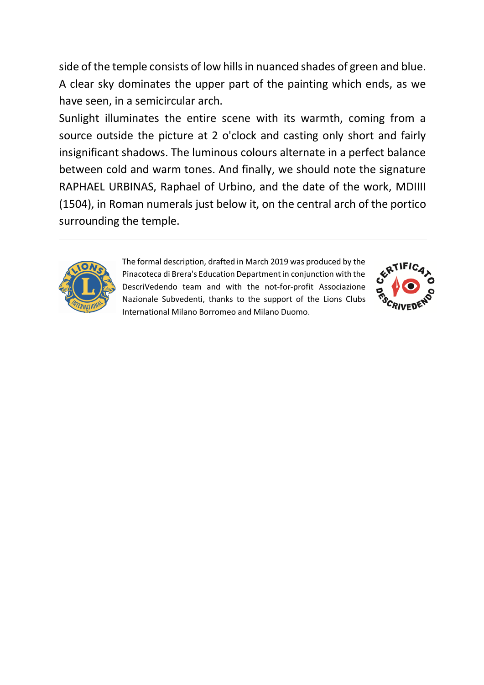side of the temple consists of low hills in nuanced shades of green and blue. A clear sky dominates the upper part of the painting which ends, as we have seen, in a semicircular arch.

Sunlight illuminates the entire scene with its warmth, coming from a source outside the picture at 2 o'clock and casting only short and fairly insignificant shadows. The luminous colours alternate in a perfect balance between cold and warm tones. And finally, we should note the signature RAPHAEL URBINAS, Raphael of Urbino, and the date of the work, MDIIII (1504), in Roman numerals just below it, on the central arch of the portico surrounding the temple.



The formal description, drafted in March 2019 was produced by the Pinacoteca di Brera's Education Department in conjunction with the DescriVedendo team and with the not-for-profit Associazione Nazionale Subvedenti, thanks to the support of the Lions Clubs International Milano Borromeo and Milano Duomo.

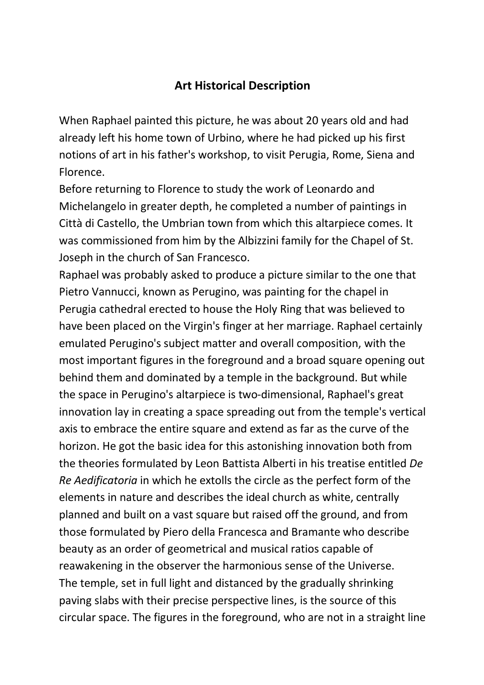#### **Art Historical Description**

When Raphael painted this picture, he was about 20 years old and had already left his home town of Urbino, where he had picked up his first notions of art in his father's workshop, to visit Perugia, Rome, Siena and Florence.

Before returning to Florence to study the work of Leonardo and Michelangelo in greater depth, he completed a number of paintings in Città di Castello, the Umbrian town from which this altarpiece comes. It was commissioned from him by the Albizzini family for the Chapel of St. Joseph in the church of San Francesco.

Raphael was probably asked to produce a picture similar to the one that Pietro Vannucci, known as Perugino, was painting for the chapel in Perugia cathedral erected to house the Holy Ring that was believed to have been placed on the Virgin's finger at her marriage. Raphael certainly emulated Perugino's subject matter and overall composition, with the most important figures in the foreground and a broad square opening out behind them and dominated by a temple in the background. But while the space in Perugino's altarpiece is two-dimensional, Raphael's great innovation lay in creating a space spreading out from the temple's vertical axis to embrace the entire square and extend as far as the curve of the horizon. He got the basic idea for this astonishing innovation both from the theories formulated by Leon Battista Alberti in his treatise entitled *De Re Aedificatoria* in which he extolls the circle as the perfect form of the elements in nature and describes the ideal church as white, centrally planned and built on a vast square but raised off the ground, and from those formulated by Piero della Francesca and Bramante who describe beauty as an order of geometrical and musical ratios capable of reawakening in the observer the harmonious sense of the Universe. The temple, set in full light and distanced by the gradually shrinking paving slabs with their precise perspective lines, is the source of this circular space. The figures in the foreground, who are not in a straight line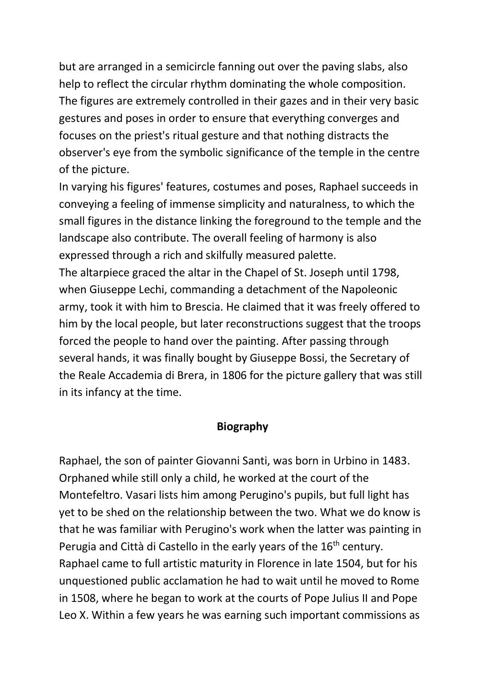but are arranged in a semicircle fanning out over the paving slabs, also help to reflect the circular rhythm dominating the whole composition. The figures are extremely controlled in their gazes and in their very basic gestures and poses in order to ensure that everything converges and focuses on the priest's ritual gesture and that nothing distracts the observer's eye from the symbolic significance of the temple in the centre of the picture.

In varying his figures' features, costumes and poses, Raphael succeeds in conveying a feeling of immense simplicity and naturalness, to which the small figures in the distance linking the foreground to the temple and the landscape also contribute. The overall feeling of harmony is also expressed through a rich and skilfully measured palette.

The altarpiece graced the altar in the Chapel of St. Joseph until 1798, when Giuseppe Lechi, commanding a detachment of the Napoleonic army, took it with him to Brescia. He claimed that it was freely offered to him by the local people, but later reconstructions suggest that the troops forced the people to hand over the painting. After passing through several hands, it was finally bought by Giuseppe Bossi, the Secretary of the Reale Accademia di Brera, in 1806 for the picture gallery that was still in its infancy at the time.

#### **Biography**

Raphael, the son of painter Giovanni Santi, was born in Urbino in 1483. Orphaned while still only a child, he worked at the court of the Montefeltro. Vasari lists him among Perugino's pupils, but full light has yet to be shed on the relationship between the two. What we do know is that he was familiar with Perugino's work when the latter was painting in Perugia and Città di Castello in the early years of the  $16<sup>th</sup>$  century. Raphael came to full artistic maturity in Florence in late 1504, but for his unquestioned public acclamation he had to wait until he moved to Rome in 1508, where he began to work at the courts of Pope Julius II and Pope Leo X. Within a few years he was earning such important commissions as